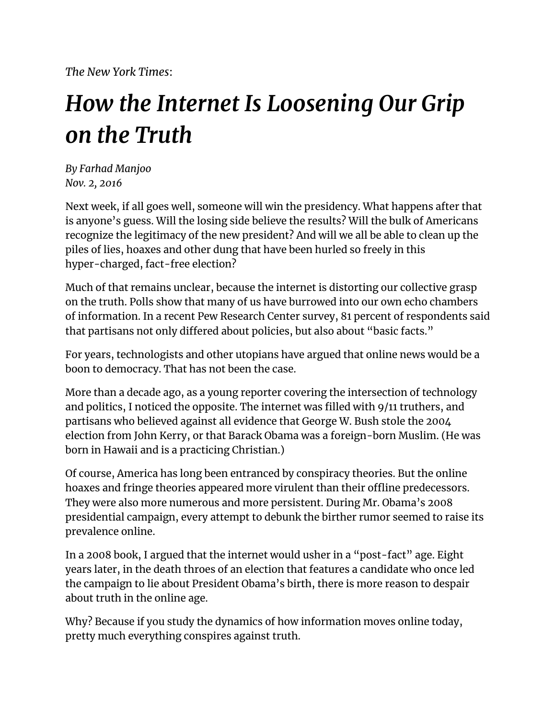*The New York Times*:

## *How the Internet Is Loosening Our Grip on the Truth*

*By Farhad Manjoo Nov. 2, 2016*

Next week, if all goes well, someone will win the presidency. What happens after that is anyone's guess. Will the losing side believe the results? Will the bulk of Americans recognize the legitimacy of the new president? And will we all be able to clean up the piles of lies, hoaxes and other dung that have been hurled so freely in this hyper-charged, fact-free election?

Much of that remains unclear, because the internet is distorting our collective grasp on the truth. Polls show that many of us have burrowed into our own echo chambers of information. In a recent Pew Research Center survey, 81 percent of respondents said that partisans not only differed about policies, but also about "basic facts."

For years, technologists and other utopians have argued that online news would be a boon to democracy. That has not been the case.

More than a decade ago, as a young reporter covering the intersection of technology and politics, I noticed the opposite. The internet was filled with 9/11 truthers, and partisans who believed against all evidence that George W. Bush stole the 2004 election from John Kerry, or that Barack Obama was a foreign-born Muslim. (He was born in Hawaii and is a practicing Christian.)

Of course, America has long been entranced by conspiracy theories. But the online hoaxes and fringe theories appeared more virulent than their offline predecessors. They were also more numerous and more persistent. During Mr. Obama's 2008 presidential campaign, every attempt to debunk the birther rumor seemed to raise its prevalence online.

In a 2008 book, I argued that the internet would usher in a "post-fact" age. Eight years later, in the death throes of an election that features a candidate who once led the campaign to lie about President Obama's birth, there is more reason to despair about truth in the online age.

Why? Because if you study the dynamics of how information moves online today, pretty much everything conspires against truth.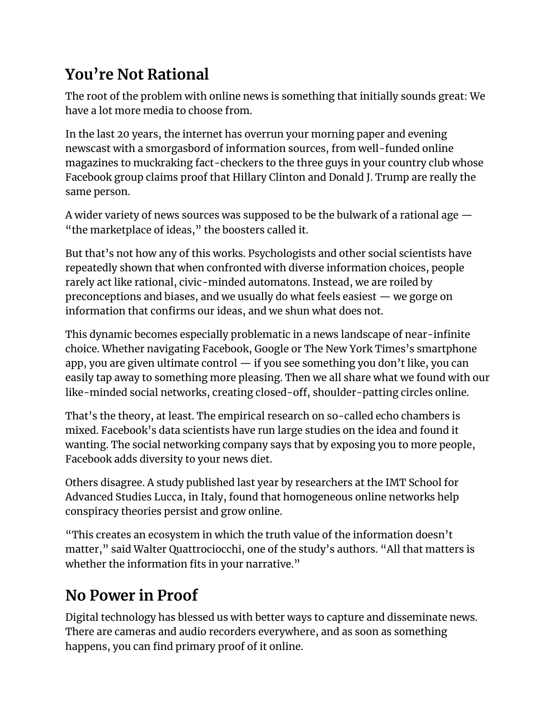## **You're Not Rational**

The root of the problem with online news is something that initially sounds great: We have a lot more media to choose from.

In the last 20 years, the internet has overrun your morning paper and evening newscast with a smorgasbord of information sources, from well-funded online magazines to muckraking fact-checkers to the three guys in your country club whose Facebook group claims proof that Hillary Clinton and Donald J. Trump are really the same person.

A wider variety of news sources was supposed to be the bulwark of a rational age — "the marketplace of ideas," the boosters called it.

But that's not how any of this works. Psychologists and other social scientists have repeatedly shown that when confronted with diverse information choices, people rarely act like rational, civic-minded automatons. Instead, we are roiled by preconceptions and biases, and we usually do what feels easiest — we gorge on information that confirms our ideas, and we shun what does not.

This dynamic becomes especially problematic in a news landscape of near-infinite choice. Whether navigating Facebook, Google or The New York Times's smartphone app, you are given ultimate control — if you see something you don't like, you can easily tap away to something more pleasing. Then we all share what we found with our like-minded social networks, creating closed-off, shoulder-patting circles online.

That's the theory, at least. The empirical research on so-called echo chambers is mixed. Facebook's data scientists have run large studies on the idea and found it wanting. The social networking company says that by exposing you to more people, Facebook adds diversity to your news diet.

Others disagree. A study published last year by researchers at the IMT School for Advanced Studies Lucca, in Italy, found that homogeneous online networks help conspiracy theories persist and grow online.

"This creates an ecosystem in which the truth value of the information doesn't matter," said Walter Quattrociocchi, one of the study's authors. "All that matters is whether the information fits in your narrative."

## **No Power in Proof**

Digital technology has blessed us with better ways to capture and disseminate news. There are cameras and audio recorders everywhere, and as soon as something happens, you can find primary proof of it online.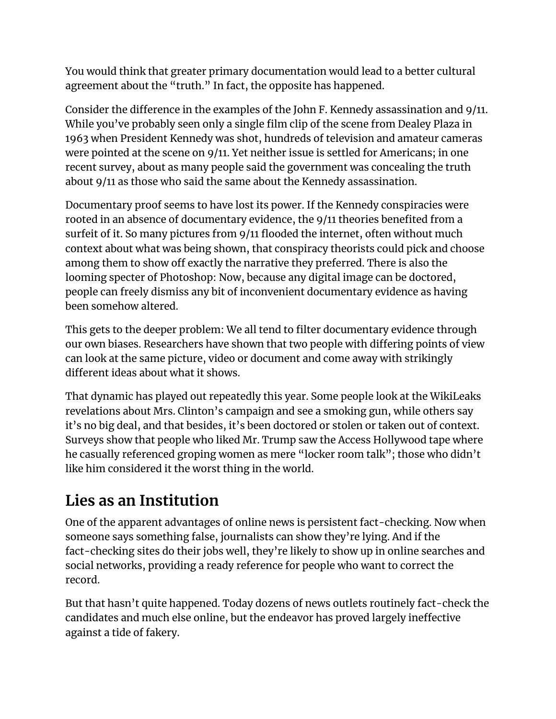You would think that greater primary documentation would lead to a better cultural agreement about the "truth." In fact, the opposite has happened.

Consider the difference in the examples of the John F. Kennedy assassination and 9/11. While you've probably seen only a single film clip of the scene from Dealey Plaza in 1963 when President Kennedy was shot, hundreds of television and amateur cameras were pointed at the scene on 9/11. Yet neither issue is settled for Americans; in one recent survey, about as many people said the government was concealing the truth about 9/11 as those who said the same about the Kennedy assassination.

Documentary proof seems to have lost its power. If the Kennedy conspiracies were rooted in an absence of documentary evidence, the 9/11 theories benefited from a surfeit of it. So many pictures from 9/11 flooded the internet, often without much context about what was being shown, that conspiracy theorists could pick and choose among them to show off exactly the narrative they preferred. There is also the looming specter of Photoshop: Now, because any digital image can be doctored, people can freely dismiss any bit of inconvenient documentary evidence as having been somehow altered.

This gets to the deeper problem: We all tend to filter documentary evidence through our own biases. Researchers have shown that two people with differing points of view can look at the same picture, video or document and come away with strikingly different ideas about what it shows.

That dynamic has played out repeatedly this year. Some people look at the WikiLeaks revelations about Mrs. Clinton's campaign and see a smoking gun, while others say it's no big deal, and that besides, it's been doctored or stolen or taken out of context. Surveys show that people who liked Mr. Trump saw the Access Hollywood tape where he casually referenced groping women as mere "locker room talk"; those who didn't like him considered it the worst thing in the world.

## **Lies as an Institution**

One of the apparent advantages of online news is persistent fact-checking. Now when someone says something false, journalists can show they're lying. And if the fact-checking sites do their jobs well, they're likely to show up in online searches and social networks, providing a ready reference for people who want to correct the record.

But that hasn't quite happened. Today dozens of news outlets routinely fact-check the candidates and much else online, but the endeavor has proved largely ineffective against a tide of fakery.